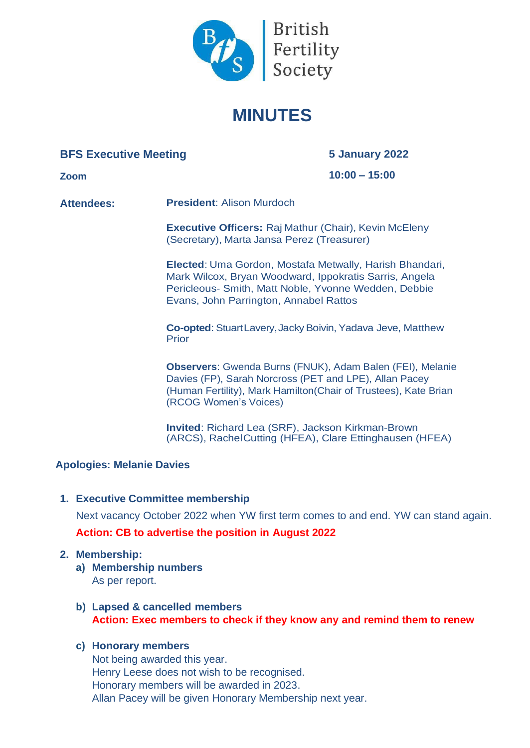

# **MINUTES**

# **BFS Executive Meeting**

**5 January 2022**

**Zoom**

**10:00 – 15:00**

**Attendees: President**: Alison Murdoch

**Executive Officers:** Raj Mathur (Chair), Kevin McEleny (Secretary), Marta Jansa Perez (Treasurer)

**Elected**: Uma Gordon, Mostafa Metwally, Harish Bhandari, Mark Wilcox, Bryan Woodward, Ippokratis Sarris, Angela Pericleous- Smith, Matt Noble, Yvonne Wedden, Debbie Evans, John Parrington, Annabel Rattos

**Co-opted:** Stuart Lavery, Jacky Boivin, Yadava Jeve, Matthew Prior

**Observers**: Gwenda Burns (FNUK), Adam Balen (FEI), Melanie Davies (FP), Sarah Norcross (PET and LPE), Allan Pacey (Human Fertility), Mark Hamilton(Chair of Trustees), Kate Brian (RCOG Women's Voices)

**Invited**: Richard Lea (SRF), Jackson Kirkman-Brown (ARCS), Rachel Cutting (HFEA), Clare Ettinghausen (HFEA)

# **Apologies: Melanie Davies**

**1. Executive Committee membership**

Next vacancy October 2022 when YW first term comes to and end. YW can stand again.

**Action: CB to advertise the position in August 2022**

# **2. Membership:**

- **a) Membership numbers** As per report.
- **b) Lapsed & cancelled members Action: Exec members to check if they know any and remind them to renew**

# **c) Honorary members**

Not being awarded this year. Henry Leese does not wish to be recognised. Honorary members will be awarded in 2023. Allan Pacey will be given Honorary Membership next year.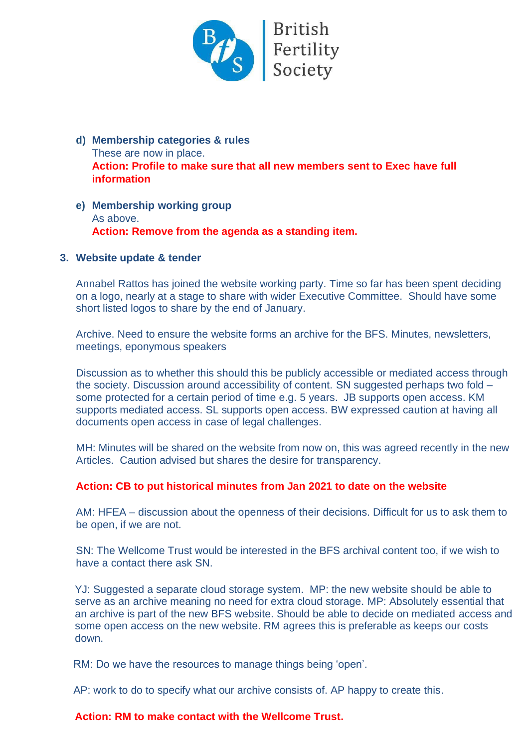

- **d) Membership categories & rules** These are now in place. **Action: Profile to make sure that all new members sent to Exec have full information**
- **e) Membership working group** As above. **Action: Remove from the agenda as a standing item.**

#### **3. Website update & tender**

Annabel Rattos has joined the website working party. Time so far has been spent deciding on a logo, nearly at a stage to share with wider Executive Committee. Should have some short listed logos to share by the end of January.

Archive. Need to ensure the website forms an archive for the BFS. Minutes, newsletters, meetings, eponymous speakers

Discussion as to whether this should this be publicly accessible or mediated access through the society. Discussion around accessibility of content. SN suggested perhaps two fold – some protected for a certain period of time e.g. 5 years. JB supports open access. KM supports mediated access. SL supports open access. BW expressed caution at having all documents open access in case of legal challenges.

MH: Minutes will be shared on the website from now on, this was agreed recently in the new Articles. Caution advised but shares the desire for transparency.

#### **Action: CB to put historical minutes from Jan 2021 to date on the website**

AM: HFEA – discussion about the openness of their decisions. Difficult for us to ask them to be open, if we are not.

SN: The Wellcome Trust would be interested in the BFS archival content too, if we wish to have a contact there ask SN.

YJ: Suggested a separate cloud storage system. MP: the new website should be able to serve as an archive meaning no need for extra cloud storage. MP: Absolutely essential that an archive is part of the new BFS website. Should be able to decide on mediated access and some open access on the new website. RM agrees this is preferable as keeps our costs down.

RM: Do we have the resources to manage things being 'open'.

AP: work to do to specify what our archive consists of. AP happy to create this.

#### **Action: RM to make contact with the Wellcome Trust.**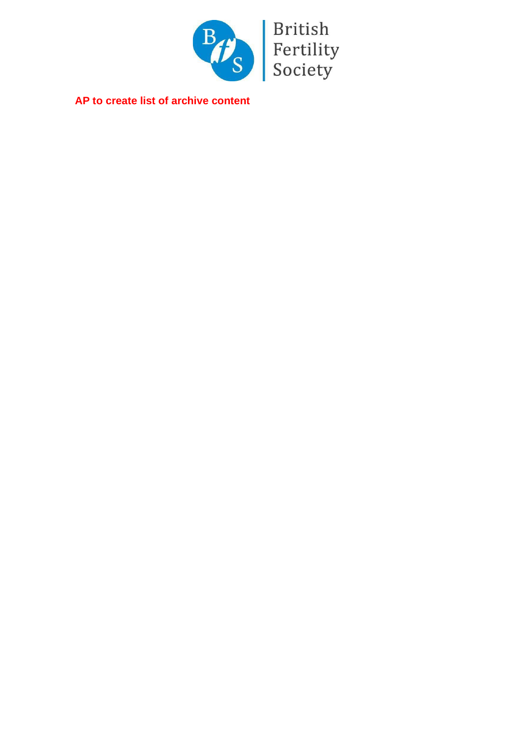

**AP to create list of archive content**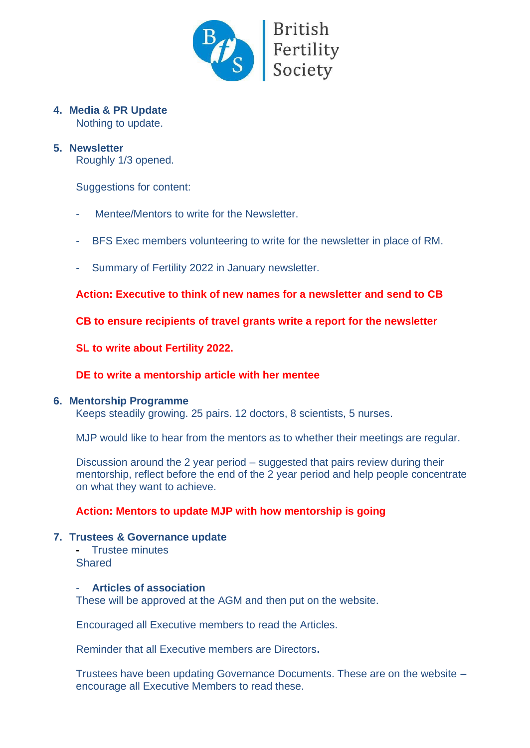

# **4. Media & PR Update**

Nothing to update.

#### **5. Newsletter**

Roughly 1/3 opened.

Suggestions for content:

- Mentee/Mentors to write for the Newsletter.
- BFS Exec members volunteering to write for the newsletter in place of RM.
- Summary of Fertility 2022 in January newsletter.

**Action: Executive to think of new names for a newsletter and send to CB**

**CB to ensure recipients of travel grants write a report for the newsletter**

**SL to write about Fertility 2022.** 

#### **DE to write a mentorship article with her mentee**

#### **6. Mentorship Programme**

Keeps steadily growing. 25 pairs. 12 doctors, 8 scientists, 5 nurses.

MJP would like to hear from the mentors as to whether their meetings are regular.

Discussion around the 2 year period – suggested that pairs review during their mentorship, reflect before the end of the 2 year period and help people concentrate on what they want to achieve.

#### **Action: Mentors to update MJP with how mentorship is going**

#### **7. Trustees & Governance update**

**-** Trustee minutes Shared

#### - **Articles of association**

These will be approved at the AGM and then put on the website.

Encouraged all Executive members to read the Articles.

Reminder that all Executive members are Directors**.**

Trustees have been updating Governance Documents. These are on the website – encourage all Executive Members to read these.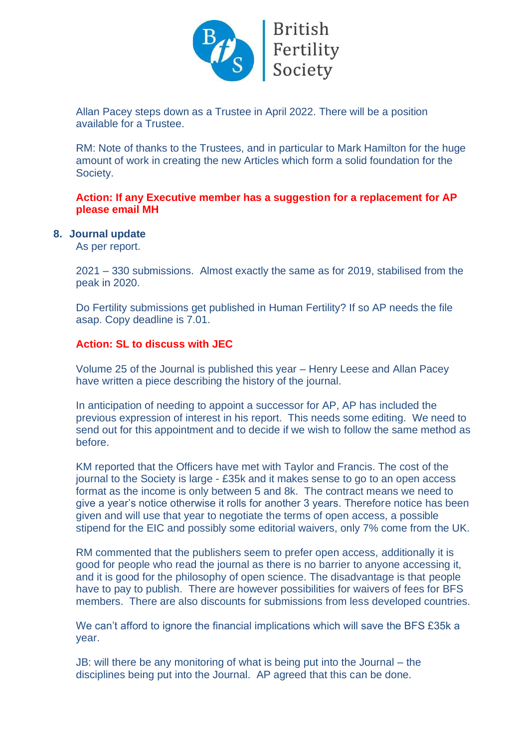

Allan Pacey steps down as a Trustee in April 2022. There will be a position available for a Trustee.

RM: Note of thanks to the Trustees, and in particular to Mark Hamilton for the huge amount of work in creating the new Articles which form a solid foundation for the Society.

#### **Action: If any Executive member has a suggestion for a replacement for AP please email MH**

#### **8. Journal update**

As per report.

2021 – 330 submissions. Almost exactly the same as for 2019, stabilised from the peak in 2020.

Do Fertility submissions get published in Human Fertility? If so AP needs the file asap. Copy deadline is 7.01.

#### **Action: SL to discuss with JEC**

Volume 25 of the Journal is published this year – Henry Leese and Allan Pacey have written a piece describing the history of the journal.

In anticipation of needing to appoint a successor for AP, AP has included the previous expression of interest in his report. This needs some editing. We need to send out for this appointment and to decide if we wish to follow the same method as before.

KM reported that the Officers have met with Taylor and Francis. The cost of the journal to the Society is large - £35k and it makes sense to go to an open access format as the income is only between 5 and 8k. The contract means we need to give a year's notice otherwise it rolls for another 3 years. Therefore notice has been given and will use that year to negotiate the terms of open access, a possible stipend for the EIC and possibly some editorial waivers, only 7% come from the UK.

RM commented that the publishers seem to prefer open access, additionally it is good for people who read the journal as there is no barrier to anyone accessing it, and it is good for the philosophy of open science. The disadvantage is that people have to pay to publish. There are however possibilities for waivers of fees for BFS members. There are also discounts for submissions from less developed countries.

We can't afford to ignore the financial implications which will save the BFS £35k a year.

JB: will there be any monitoring of what is being put into the Journal – the disciplines being put into the Journal. AP agreed that this can be done.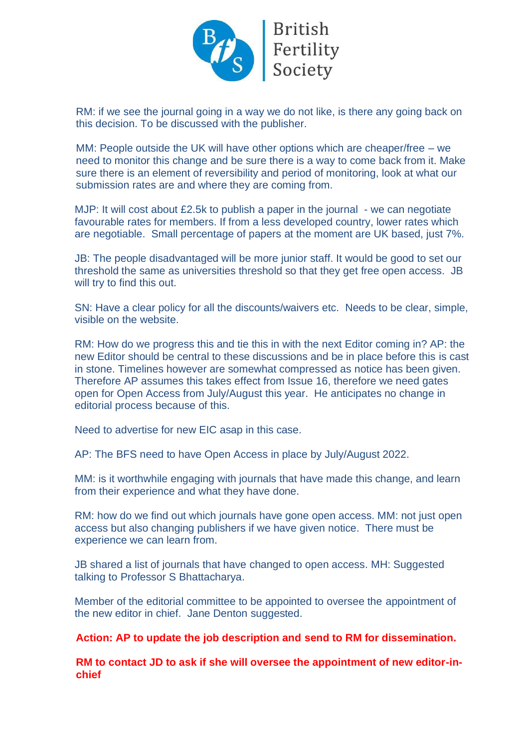

RM: if we see the journal going in a way we do not like, is there any going back on this decision. To be discussed with the publisher.

MM: People outside the UK will have other options which are cheaper/free – we need to monitor this change and be sure there is a way to come back from it. Make sure there is an element of reversibility and period of monitoring, look at what our submission rates are and where they are coming from.

MJP: It will cost about £2.5k to publish a paper in the journal - we can negotiate favourable rates for members. If from a less developed country, lower rates which are negotiable. Small percentage of papers at the moment are UK based, just 7%.

JB: The people disadvantaged will be more junior staff. It would be good to set our threshold the same as universities threshold so that they get free open access. JB will try to find this out.

SN: Have a clear policy for all the discounts/waivers etc. Needs to be clear, simple, visible on the website.

RM: How do we progress this and tie this in with the next Editor coming in? AP: the new Editor should be central to these discussions and be in place before this is cast in stone. Timelines however are somewhat compressed as notice has been given. Therefore AP assumes this takes effect from Issue 16, therefore we need gates open for Open Access from July/August this year. He anticipates no change in editorial process because of this.

Need to advertise for new EIC asap in this case.

AP: The BFS need to have Open Access in place by July/August 2022.

MM: is it worthwhile engaging with journals that have made this change, and learn from their experience and what they have done.

RM: how do we find out which journals have gone open access. MM: not just open access but also changing publishers if we have given notice. There must be experience we can learn from.

JB shared a list of journals that have changed to open access. MH: Suggested talking to Professor S Bhattacharya.

Member of the editorial committee to be appointed to oversee the appointment of the new editor in chief. Jane Denton suggested.

#### **Action: AP to update the job description and send to RM for dissemination.**

**RM to contact JD to ask if she will oversee the appointment of new editor-inchief**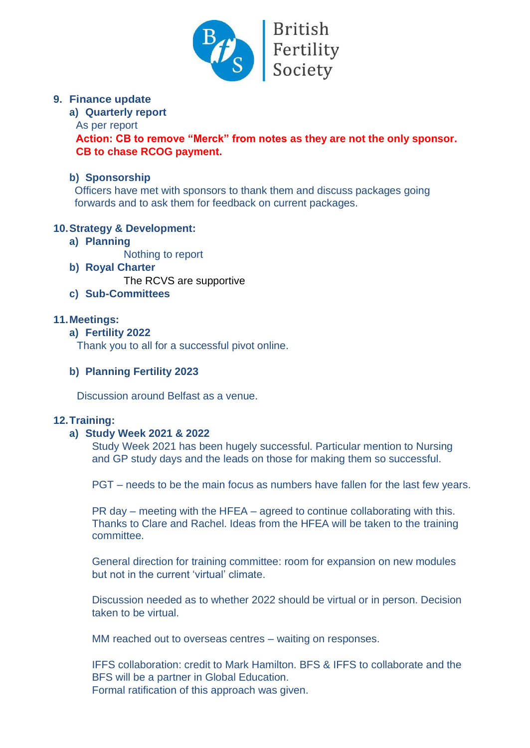

**British** Fertility<br>Society

# **9. Finance update**

#### **a) Quarterly report**

#### As per report

**Action: CB to remove "Merck" from notes as they are not the only sponsor. CB to chase RCOG payment.**

#### **b) Sponsorship**

Officers have met with sponsors to thank them and discuss packages going forwards and to ask them for feedback on current packages.

# **10.Strategy & Development:**

**a) Planning** 

Nothing to report

**b) Royal Charter**

The RCVS are supportive

# **c) Sub-Committees**

# **11.Meetings:**

#### **a) Fertility 2022**

Thank you to all for a successful pivot online.

#### **b) Planning Fertility 2023**

Discussion around Belfast as a venue.

# **12.Training:**

# **a) Study Week 2021 & 2022**

Study Week 2021 has been hugely successful. Particular mention to Nursing and GP study days and the leads on those for making them so successful.

PGT – needs to be the main focus as numbers have fallen for the last few years.

PR day – meeting with the HFEA – agreed to continue collaborating with this. Thanks to Clare and Rachel. Ideas from the HFEA will be taken to the training committee.

General direction for training committee: room for expansion on new modules but not in the current 'virtual' climate.

Discussion needed as to whether 2022 should be virtual or in person. Decision taken to be virtual.

MM reached out to overseas centres – waiting on responses.

IFFS collaboration: credit to Mark Hamilton. BFS & IFFS to collaborate and the BFS will be a partner in Global Education. Formal ratification of this approach was given.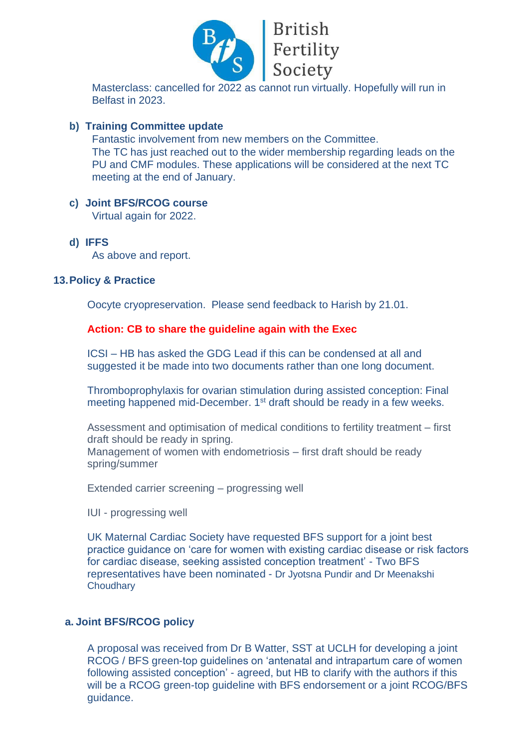

Masterclass: cancelled for 2022 as cannot run virtually. Hopefully will run in Belfast in 2023.

#### **b) Training Committee update**

Fantastic involvement from new members on the Committee. The TC has just reached out to the wider membership regarding leads on the PU and CMF modules. These applications will be considered at the next TC meeting at the end of January.

# **c) Joint BFS/RCOG course**

Virtual again for 2022.

**d) IFFS** 

As above and report.

#### **13.Policy & Practice**

Oocyte cryopreservation. Please send feedback to Harish by 21.01.

#### **Action: CB to share the guideline again with the Exec**

ICSI – HB has asked the GDG Lead if this can be condensed at all and suggested it be made into two documents rather than one long document.

Thromboprophylaxis for ovarian stimulation during assisted conception: Final meeting happened mid-December. 1<sup>st</sup> draft should be ready in a few weeks.

Assessment and optimisation of medical conditions to fertility treatment – first draft should be ready in spring. Management of women with endometriosis – first draft should be ready spring/summer

Extended carrier screening – progressing well

IUI - progressing well

UK Maternal Cardiac Society have requested BFS support for a joint best practice guidance on 'care for women with existing cardiac disease or risk factors for cardiac disease, seeking assisted conception treatment' - Two BFS representatives have been nominated - Dr Jyotsna Pundir and Dr Meenakshi **Choudhary** 

#### **a. Joint BFS/RCOG policy**

A proposal was received from Dr B Watter, SST at UCLH for developing a joint RCOG / BFS green-top guidelines on 'antenatal and intrapartum care of women following assisted conception' - agreed, but HB to clarify with the authors if this will be a RCOG green-top guideline with BFS endorsement or a joint RCOG/BFS guidance.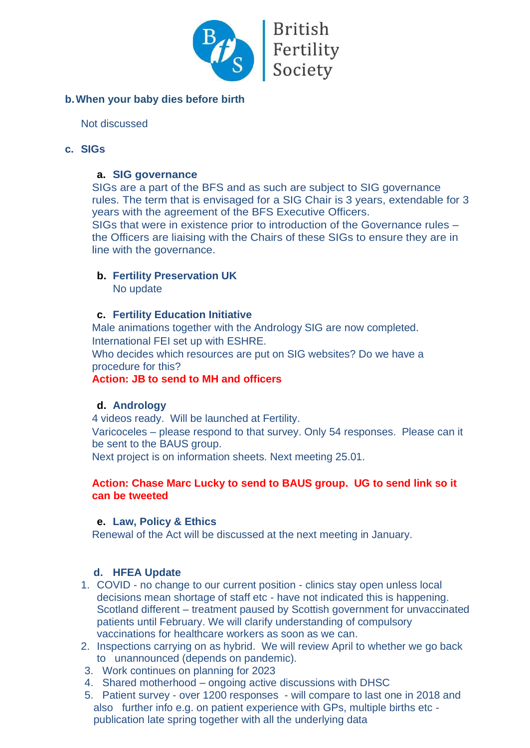

# **b.When your baby dies before birth**

Not discussed

#### **c. SIGs**

#### **a. SIG governance**

SIGs are a part of the BFS and as such are subject to SIG governance rules. The term that is envisaged for a SIG Chair is 3 years, extendable for 3 years with the agreement of the BFS Executive Officers. SIGs that were in existence prior to introduction of the Governance rules – the Officers are liaising with the Chairs of these SIGs to ensure they are in line with the governance.

# **b. Fertility Preservation UK**

No update

#### **c. Fertility Education Initiative**

Male animations together with the Andrology SIG are now completed. International FEI set up with ESHRE.

Who decides which resources are put on SIG websites? Do we have a procedure for this?

#### **Action: JB to send to MH and officers**

# **d. Andrology**

4 videos ready. Will be launched at Fertility. Varicoceles – please respond to that survey. Only 54 responses. Please can it be sent to the BAUS group.

Next project is on information sheets. Next meeting 25.01.

#### **Action: Chase Marc Lucky to send to BAUS group. UG to send link so it can be tweeted**

#### **e. Law, Policy & Ethics**

Renewal of the Act will be discussed at the next meeting in January.

# **d. HFEA Update**

- 1. COVID no change to our current position clinics stay open unless local decisions mean shortage of staff etc - have not indicated this is happening. Scotland different – treatment paused by Scottish government for unvaccinated patients until February. We will clarify understanding of compulsory vaccinations for healthcare workers as soon as we can.
- 2. Inspections carrying on as hybrid. We will review April to whether we go back to unannounced (depends on pandemic).
- 3. Work continues on planning for 2023
- 4. Shared motherhood ongoing active discussions with DHSC
- 5. Patient survey over 1200 responses will compare to last one in 2018 and also further info e.g. on patient experience with GPs, multiple births etc publication late spring together with all the underlying data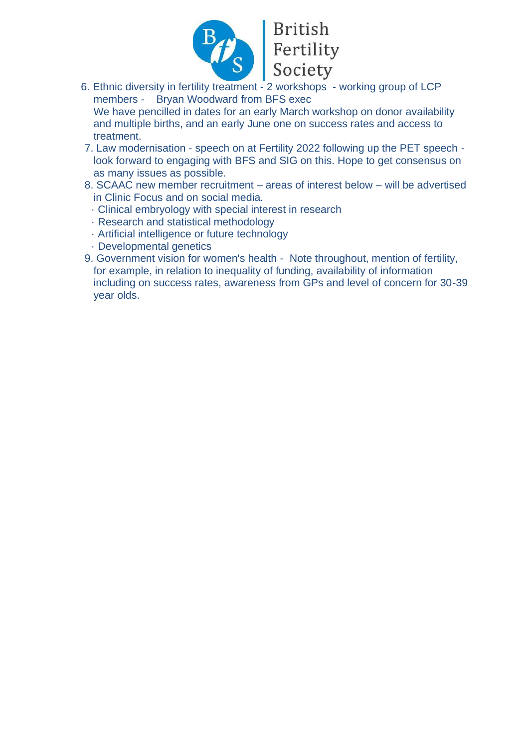

# British<br>Fertility<br>Society

- 6. Ethnic diversity in fertility treatment 2 workshops working group of LCP members - Bryan Woodward from BFS exec We have pencilled in dates for an early March workshop on donor availability and multiple births, and an early June one on success rates and access to treatment.
- 7. Law modernisation speech on at Fertility 2022 following up the PET speech look forward to engaging with BFS and SIG on this. Hope to get consensus on as many issues as possible.
- 8. SCAAC new member recruitment areas of interest below will be advertised in Clinic Focus and on social media.
	- · Clinical embryology with special interest in research
	- · Research and statistical methodology
	- · Artificial intelligence or future technology
	- · Developmental genetics
- 9. Government vision for women's health Note throughout, mention of fertility, for example, in relation to inequality of funding, availability of information including on success rates, awareness from GPs and level of concern for 30-39 year olds.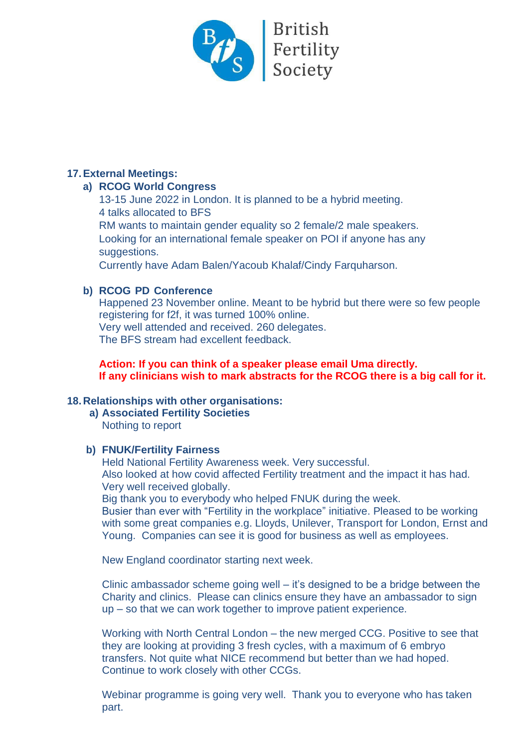

# **17.External Meetings:**

#### **a) RCOG World Congress**

13-15 June 2022 in London. It is planned to be a hybrid meeting. 4 talks allocated to BFS

RM wants to maintain gender equality so 2 female/2 male speakers. Looking for an international female speaker on POI if anyone has any suggestions.

Currently have Adam Balen/Yacoub Khalaf/Cindy Farquharson.

# **b) RCOG PD Conference**

Happened 23 November online. Meant to be hybrid but there were so few people registering for f2f, it was turned 100% online. Very well attended and received. 260 delegates. The BFS stream had excellent feedback.

**Action: If you can think of a speaker please email Uma directly. If any clinicians wish to mark abstracts for the RCOG there is a big call for it.** 

# **18.Relationships with other organisations:**

**a) Associated Fertility Societies** Nothing to report

# **b) FNUK/Fertility Fairness**

Held National Fertility Awareness week. Very successful. Also looked at how covid affected Fertility treatment and the impact it has had. Very well received globally.

Big thank you to everybody who helped FNUK during the week.

Busier than ever with "Fertility in the workplace" initiative. Pleased to be working with some great companies e.g. Lloyds, Unilever, Transport for London, Ernst and Young. Companies can see it is good for business as well as employees.

New England coordinator starting next week.

Clinic ambassador scheme going well – it's designed to be a bridge between the Charity and clinics. Please can clinics ensure they have an ambassador to sign up – so that we can work together to improve patient experience.

Working with North Central London – the new merged CCG. Positive to see that they are looking at providing 3 fresh cycles, with a maximum of 6 embryo transfers. Not quite what NICE recommend but better than we had hoped. Continue to work closely with other CCGs.

Webinar programme is going very well. Thank you to everyone who has taken part.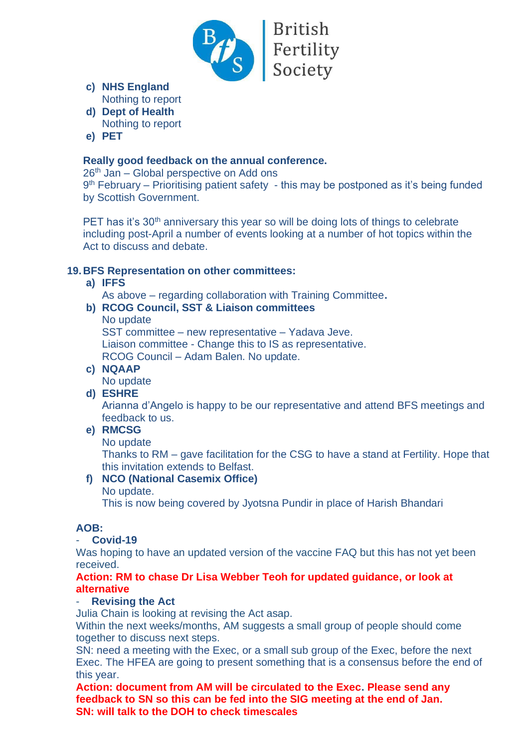

**British** Fertility<br>Society

- **c) NHS England** Nothing to report
- **d) Dept of Health** Nothing to report
- **e) PET**

# **Really good feedback on the annual conference.**

 $26<sup>th</sup>$  Jan – Global perspective on Add ons

9 th February – Prioritising patient safety - this may be postponed as it's being funded by Scottish Government.

PET has it's 30<sup>th</sup> anniversary this year so will be doing lots of things to celebrate including post-April a number of events looking at a number of hot topics within the Act to discuss and debate.

# **19.BFS Representation on other committees:**

# **a) IFFS**

As above – regarding collaboration with Training Committee**.** 

# **b) RCOG Council, SST & Liaison committees**

#### No update

SST committee – new representative – Yadava Jeve. Liaison committee - Change this to IS as representative. RCOG Council – Adam Balen. No update.

# **c) NQAAP**

No update

# **d) ESHRE**

Arianna d'Angelo is happy to be our representative and attend BFS meetings and feedback to us.

# **e) RMCSG**

# No update

Thanks to RM – gave facilitation for the CSG to have a stand at Fertility. Hope that this invitation extends to Belfast.

# **f) NCO (National Casemix Office)**

No update.

This is now being covered by Jyotsna Pundir in place of Harish Bhandari

# **AOB:**

# - **Covid-19**

Was hoping to have an updated version of the vaccine FAQ but this has not yet been received.

#### **Action: RM to chase Dr Lisa Webber Teoh for updated guidance, or look at alternative**

# - **Revising the Act**

Julia Chain is looking at revising the Act asap.

Within the next weeks/months, AM suggests a small group of people should come together to discuss next steps.

SN: need a meeting with the Exec, or a small sub group of the Exec, before the next Exec. The HFEA are going to present something that is a consensus before the end of this year.

**Action: document from AM will be circulated to the Exec. Please send any feedback to SN so this can be fed into the SIG meeting at the end of Jan. SN: will talk to the DOH to check timescales**